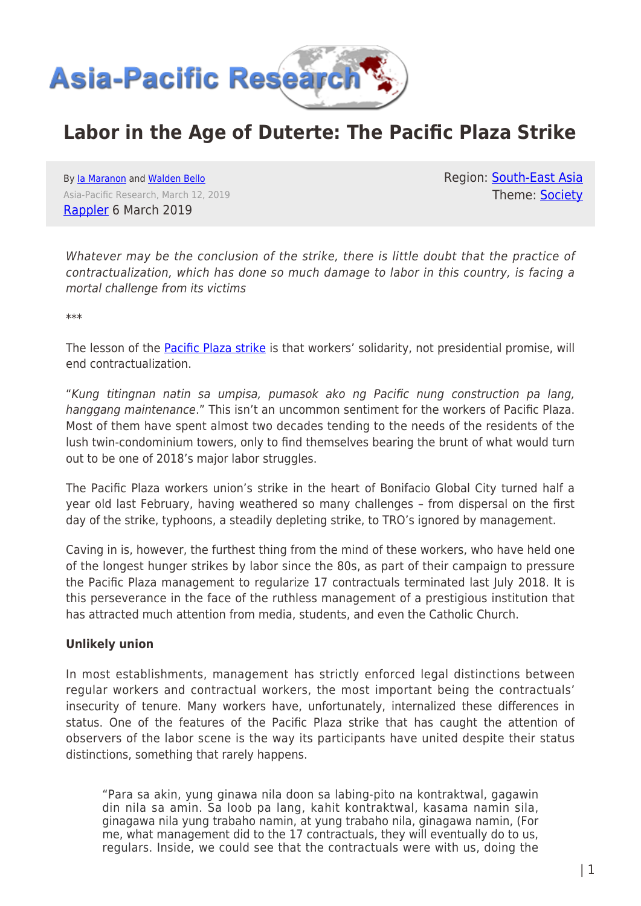

# **Labor in the Age of Duterte: The Pacific Plaza Strike**

By [Ia Maranon](https://www.asia-pacificresearch.com/author/ia-maranon) and [Walden Bello](https://www.asia-pacificresearch.com/author/walden-bello) Asia-Pacific Research, March 12, 2019 [Rappler](https://www.rappler.com/thought-leaders/225013-labor-age-of-duterte-pacific-plaza-towers-bgc-strike) 6 March 2019

Region: [South-East Asia](https://www.asia-pacificresearch.com/region/south-east-asia) Theme: [Society](https://www.asia-pacificresearch.com/theme/society)

Whatever may be the conclusion of the strike, there is little doubt that the practice of contractualization, which has done so much damage to labor in this country, is facing a mortal challenge from its victims

\*\*\*

The lesson of the **[Pacific Plaza strike](https://www.rappler.com/nation/214305-pacific-plaza-towers-bonifacio-global-city-workers-hunger-strike)** is that workers' solidarity, not presidential promise, will end contractualization.

"Kung titingnan natin sa umpisa, pumasok ako ng Pacific nung construction pa lang, hanggang maintenance." This isn't an uncommon sentiment for the workers of Pacific Plaza. Most of them have spent almost two decades tending to the needs of the residents of the lush twin-condominium towers, only to find themselves bearing the brunt of what would turn out to be one of 2018's major labor struggles.

The Pacific Plaza workers union's strike in the heart of Bonifacio Global City turned half a year old last February, having weathered so many challenges – from dispersal on the first day of the strike, typhoons, a steadily depleting strike, to TRO's ignored by management.

Caving in is, however, the furthest thing from the mind of these workers, who have held one of the longest hunger strikes by labor since the 80s, as part of their campaign to pressure the Pacific Plaza management to regularize 17 contractuals terminated last July 2018. It is this perseverance in the face of the ruthless management of a prestigious institution that has attracted much attention from media, students, and even the Catholic Church.

## **Unlikely union**

In most establishments, management has strictly enforced legal distinctions between regular workers and contractual workers, the most important being the contractuals' insecurity of tenure. Many workers have, unfortunately, internalized these differences in status. One of the features of the Pacific Plaza strike that has caught the attention of observers of the labor scene is the way its participants have united despite their status distinctions, something that rarely happens.

"Para sa akin, yung ginawa nila doon sa labing-pito na kontraktwal, gagawin din nila sa amin. Sa loob pa lang, kahit kontraktwal, kasama namin sila, ginagawa nila yung trabaho namin, at yung trabaho nila, ginagawa namin, (For me, what management did to the 17 contractuals, they will eventually do to us, regulars. Inside, we could see that the contractuals were with us, doing the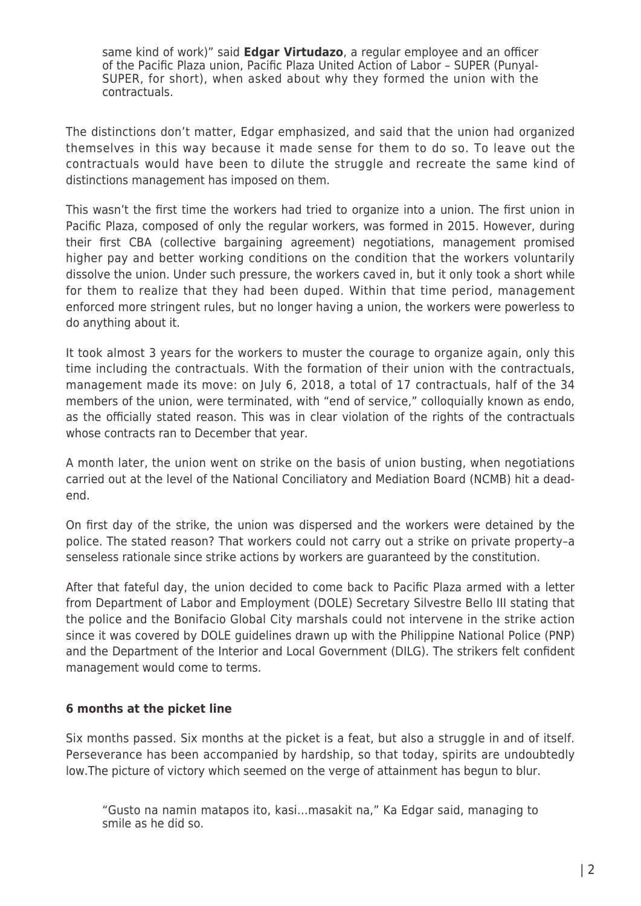same kind of work)" said **Edgar Virtudazo**, a regular employee and an officer of the Pacific Plaza union, Pacific Plaza United Action of Labor – SUPER (Punyal-SUPER, for short), when asked about why they formed the union with the contractuals.

The distinctions don't matter, Edgar emphasized, and said that the union had organized themselves in this way because it made sense for them to do so. To leave out the contractuals would have been to dilute the struggle and recreate the same kind of distinctions management has imposed on them.

This wasn't the first time the workers had tried to organize into a union. The first union in Pacific Plaza, composed of only the regular workers, was formed in 2015. However, during their first CBA (collective bargaining agreement) negotiations, management promised higher pay and better working conditions on the condition that the workers voluntarily dissolve the union. Under such pressure, the workers caved in, but it only took a short while for them to realize that they had been duped. Within that time period, management enforced more stringent rules, but no longer having a union, the workers were powerless to do anything about it.

It took almost 3 years for the workers to muster the courage to organize again, only this time including the contractuals. With the formation of their union with the contractuals, management made its move: on July 6, 2018, a total of 17 contractuals, half of the 34 members of the union, were terminated, with "end of service," colloquially known as endo, as the officially stated reason. This was in clear violation of the rights of the contractuals whose contracts ran to December that year.

A month later, the union went on strike on the basis of union busting, when negotiations carried out at the level of the National Conciliatory and Mediation Board (NCMB) hit a deadend.

On first day of the strike, the union was dispersed and the workers were detained by the police. The stated reason? That workers could not carry out a strike on private property–a senseless rationale since strike actions by workers are guaranteed by the constitution.

After that fateful day, the union decided to come back to Pacific Plaza armed with a letter from Department of Labor and Employment (DOLE) Secretary Silvestre Bello III stating that the police and the Bonifacio Global City marshals could not intervene in the strike action since it was covered by DOLE guidelines drawn up with the Philippine National Police (PNP) and the Department of the Interior and Local Government (DILG). The strikers felt confident management would come to terms.

## **6 months at the picket line**

Six months passed. Six months at the picket is a feat, but also a struggle in and of itself. Perseverance has been accompanied by hardship, so that today, spirits are undoubtedly low.The picture of victory which seemed on the verge of attainment has begun to blur.

"Gusto na namin matapos ito, kasi…masakit na," Ka Edgar said, managing to smile as he did so.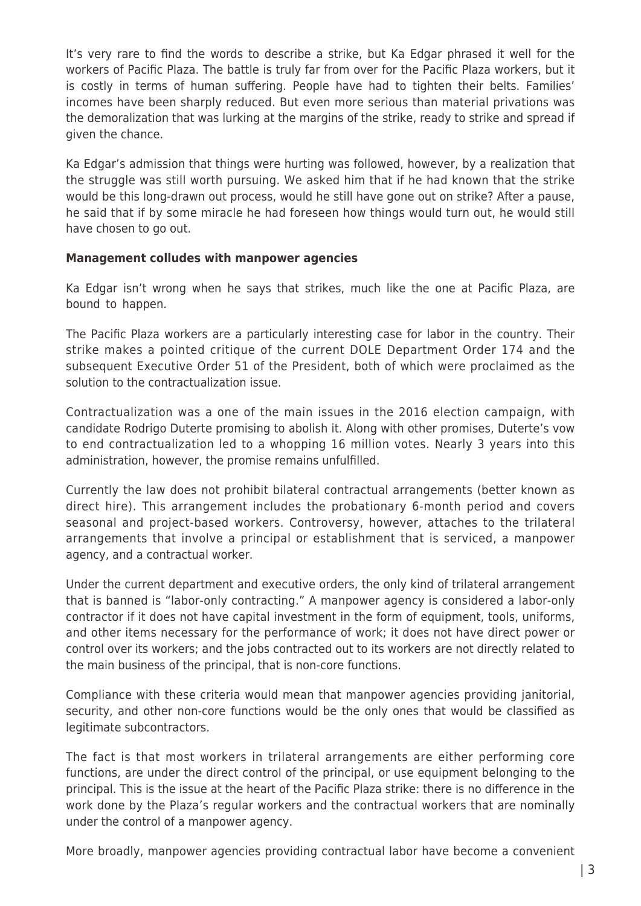It's very rare to find the words to describe a strike, but Ka Edgar phrased it well for the workers of Pacific Plaza. The battle is truly far from over for the Pacific Plaza workers, but it is costly in terms of human suffering. People have had to tighten their belts. Families' incomes have been sharply reduced. But even more serious than material privations was the demoralization that was lurking at the margins of the strike, ready to strike and spread if given the chance.

Ka Edgar's admission that things were hurting was followed, however, by a realization that the struggle was still worth pursuing. We asked him that if he had known that the strike would be this long-drawn out process, would he still have gone out on strike? After a pause, he said that if by some miracle he had foreseen how things would turn out, he would still have chosen to go out.

#### **Management colludes with manpower agencies**

Ka Edgar isn't wrong when he says that strikes, much like the one at Pacific Plaza, are bound to happen.

The Pacific Plaza workers are a particularly interesting case for labor in the country. Their strike makes a pointed critique of the current DOLE Department Order 174 and the subsequent Executive Order 51 of the President, both of which were proclaimed as the solution to the contractualization issue.

Contractualization was a one of the main issues in the 2016 election campaign, with candidate Rodrigo Duterte promising to abolish it. Along with other promises, Duterte's vow to end contractualization led to a whopping 16 million votes. Nearly 3 years into this administration, however, the promise remains unfulfilled.

Currently the law does not prohibit bilateral contractual arrangements (better known as direct hire). This arrangement includes the probationary 6-month period and covers seasonal and project-based workers. Controversy, however, attaches to the trilateral arrangements that involve a principal or establishment that is serviced, a manpower agency, and a contractual worker.

Under the current department and executive orders, the only kind of trilateral arrangement that is banned is "labor-only contracting." A manpower agency is considered a labor-only contractor if it does not have capital investment in the form of equipment, tools, uniforms, and other items necessary for the performance of work; it does not have direct power or control over its workers; and the jobs contracted out to its workers are not directly related to the main business of the principal, that is non-core functions.

Compliance with these criteria would mean that manpower agencies providing janitorial, security, and other non-core functions would be the only ones that would be classified as legitimate subcontractors.

The fact is that most workers in trilateral arrangements are either performing core functions, are under the direct control of the principal, or use equipment belonging to the principal. This is the issue at the heart of the Pacific Plaza strike: there is no difference in the work done by the Plaza's regular workers and the contractual workers that are nominally under the control of a manpower agency.

More broadly, manpower agencies providing contractual labor have become a convenient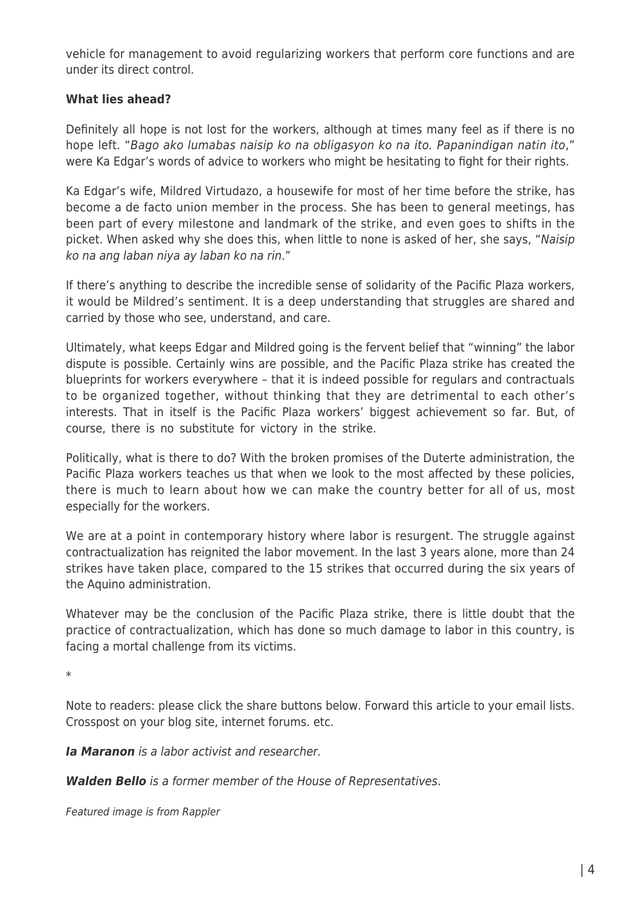vehicle for management to avoid regularizing workers that perform core functions and are under its direct control.

#### **What lies ahead?**

Definitely all hope is not lost for the workers, although at times many feel as if there is no hope left. "Bago ako lumabas naisip ko na obligasyon ko na ito. Papanindigan natin ito," were Ka Edgar's words of advice to workers who might be hesitating to fight for their rights.

Ka Edgar's wife, Mildred Virtudazo, a housewife for most of her time before the strike, has become a de facto union member in the process. She has been to general meetings, has been part of every milestone and landmark of the strike, and even goes to shifts in the picket. When asked why she does this, when little to none is asked of her, she says, "Naisip ko na ang laban niya ay laban ko na rin."

If there's anything to describe the incredible sense of solidarity of the Pacific Plaza workers, it would be Mildred's sentiment. It is a deep understanding that struggles are shared and carried by those who see, understand, and care.

Ultimately, what keeps Edgar and Mildred going is the fervent belief that "winning" the labor dispute is possible. Certainly wins are possible, and the Pacific Plaza strike has created the blueprints for workers everywhere – that it is indeed possible for regulars and contractuals to be organized together, without thinking that they are detrimental to each other's interests. That in itself is the Pacific Plaza workers' biggest achievement so far. But, of course, there is no substitute for victory in the strike.

Politically, what is there to do? With the broken promises of the Duterte administration, the Pacific Plaza workers teaches us that when we look to the most affected by these policies, there is much to learn about how we can make the country better for all of us, most especially for the workers.

We are at a point in contemporary history where labor is resurgent. The struggle against contractualization has reignited the labor movement. In the last 3 years alone, more than 24 strikes have taken place, compared to the 15 strikes that occurred during the six years of the Aquino administration.

Whatever may be the conclusion of the Pacific Plaza strike, there is little doubt that the practice of contractualization, which has done so much damage to labor in this country, is facing a mortal challenge from its victims.

\*

Note to readers: please click the share buttons below. Forward this article to your email lists. Crosspost on your blog site, internet forums. etc.

*Ia Maranon* is a labor activist and researcher.

*Walden Bello* is a former member of the House of Representatives.

Featured image is from Rappler